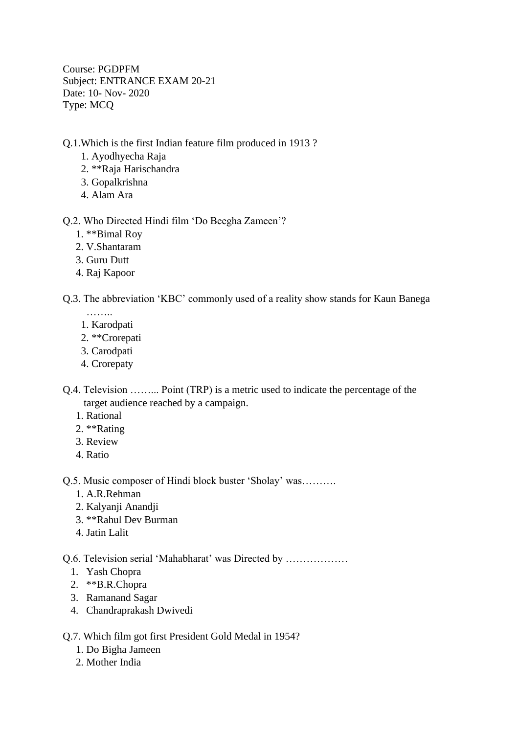Course: PGDPFM Subject: ENTRANCE EXAM 20-21 Date: 10- Nov- 2020 Type: MCQ

## Q.1.Which is the first Indian feature film produced in 1913 ?

- 1. Ayodhyecha Raja
- 2. \*\*Raja Harischandra
- 3. Gopalkrishna
- 4. Alam Ara

## Q.2. Who Directed Hindi film 'Do Beegha Zameen'?

- 1. \*\*Bimal Roy
- 2. V.Shantaram
- 3. Guru Dutt
- 4. Raj Kapoor

## Q.3. The abbreviation 'KBC' commonly used of a reality show stands for Kaun Banega

- ………
- 1. Karodpati
- 2. \*\*Crorepati
- 3. Carodpati
- 4. Crorepaty

Q.4. Television ……... Point (TRP) is a metric used to indicate the percentage of the target audience reached by a campaign.

- 1. Rational
- 2. \*\*Rating
- 3. Review
- 4. Ratio

Q.5. Music composer of Hindi block buster 'Sholay' was……….

- 1. A.R.Rehman
- 2. Kalyanji Anandji
- 3. \*\*Rahul Dev Burman
- 4. Jatin Lalit

Q.6. Television serial 'Mahabharat' was Directed by ………………

- 1. Yash Chopra
- 2. \*\*B.R.Chopra
- 3. Ramanand Sagar
- 4. Chandraprakash Dwivedi

## Q.7. Which film got first President Gold Medal in 1954?

- 1. Do Bigha Jameen
- 2. Mother India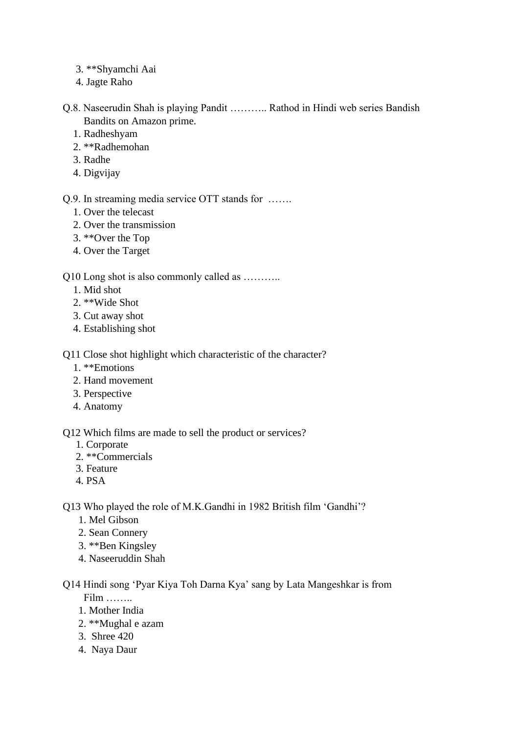- 3. \*\*Shyamchi Aai
- 4. Jagte Raho
- Q.8. Naseerudin Shah is playing Pandit ……….. Rathod in Hindi web series Bandish Bandits on Amazon prime.
	- 1. Radheshyam
	- 2. \*\*Radhemohan
	- 3. Radhe
	- 4. Digvijay

Q.9. In streaming media service OTT stands for …….

- 1. Over the telecast
- 2. Over the transmission
- 3. \*\*Over the Top
- 4. Over the Target

Q10 Long shot is also commonly called as ………..

- 1. Mid shot
- 2. \*\*Wide Shot
- 3. Cut away shot
- 4. Establishing shot

Q11 Close shot highlight which characteristic of the character?

- 1. \*\*Emotions
- 2. Hand movement
- 3. Perspective
- 4. Anatomy

Q12 Which films are made to sell the product or services?

- 1. Corporate
- 2. \*\*Commercials
- 3. Feature
- 4. PSA

Q13 Who played the role of M.K.Gandhi in 1982 British film 'Gandhi'?

- 1. Mel Gibson
- 2. Sean Connery
- 3. \*\*Ben Kingsley
- 4. Naseeruddin Shah

Q14 Hindi song 'Pyar Kiya Toh Darna Kya' sang by Lata Mangeshkar is from Film ……..

- 1. Mother India
- 2. \*\*Mughal e azam
- 3. Shree 420
- 4. Naya Daur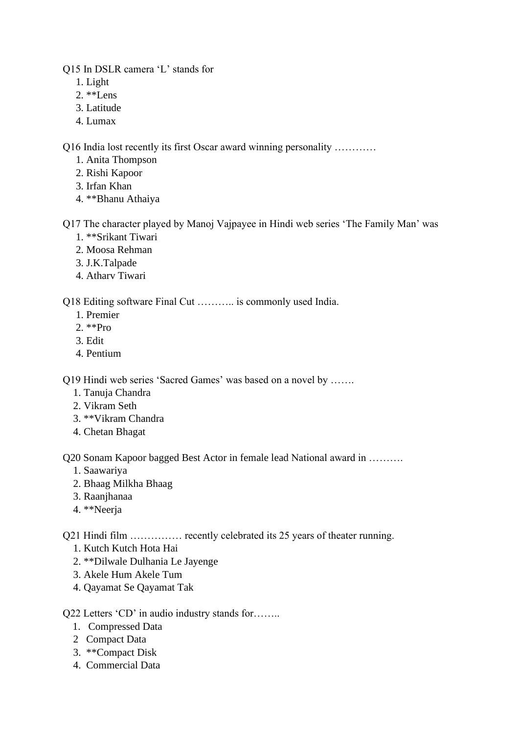Q15 In DSLR camera 'L' stands for

- 1. Light
- 2. \*\*Lens
- 3. Latitude
- 4. Lumax

Q16 India lost recently its first Oscar award winning personality …………

- 1. Anita Thompson
- 2. Rishi Kapoor
- 3. Irfan Khan
- 4. \*\*Bhanu Athaiya

Q17 The character played by Manoj Vajpayee in Hindi web series 'The Family Man' was

- 1. \*\*Srikant Tiwari
- 2. Moosa Rehman
- 3. J.K.Talpade
- 4. Atharv Tiwari

Q18 Editing software Final Cut ……….. is commonly used India.

- 1. Premier
- 2. \*\*Pro
- 3. Edit
- 4. Pentium

Q19 Hindi web series 'Sacred Games' was based on a novel by …….

- 1. Tanuja Chandra
- 2. Vikram Seth
- 3. \*\*Vikram Chandra
- 4. Chetan Bhagat

Q20 Sonam Kapoor bagged Best Actor in female lead National award in ……….

- 1. Saawariya
- 2. Bhaag Milkha Bhaag
- 3. Raanjhanaa
- 4. \*\*Neerja

Q21 Hindi film …………… recently celebrated its 25 years of theater running.

- 1. Kutch Kutch Hota Hai
- 2. \*\*Dilwale Dulhania Le Jayenge
- 3. Akele Hum Akele Tum
- 4. Qayamat Se Qayamat Tak

Q22 Letters 'CD' in audio industry stands for........

- 1. Compressed Data
- 2 Compact Data
- 3. \*\*Compact Disk
- 4. Commercial Data